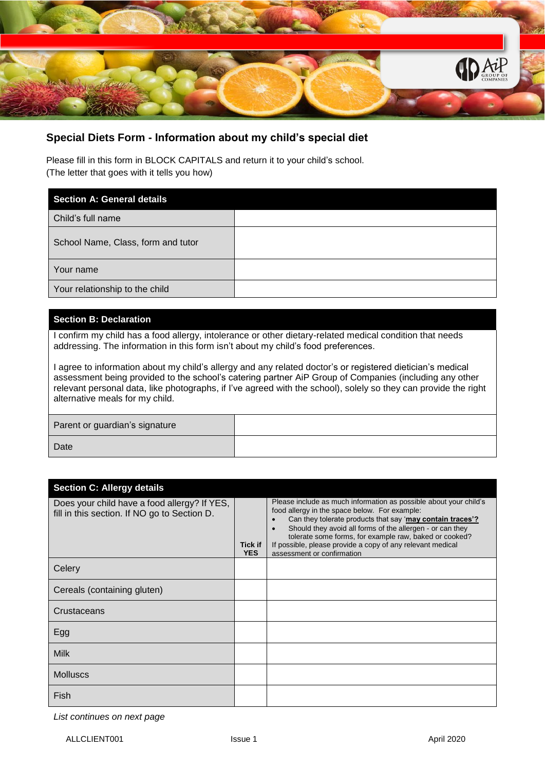

## **Special Diets Form - Information about my child's special diet**

Please fill in this form in BLOCK CAPITALS and return it to your child's school. (The letter that goes with it tells you how)

| <b>Section A: General details</b>  |  |
|------------------------------------|--|
| Child's full name                  |  |
| School Name, Class, form and tutor |  |
| Your name                          |  |
| Your relationship to the child     |  |

## **Section B: Declaration**

I confirm my child has a food allergy, intolerance or other dietary-related medical condition that needs addressing. The information in this form isn't about my child's food preferences.

I agree to information about my child's allergy and any related doctor's or registered dietician's medical assessment being provided to the school's catering partner AiP Group of Companies (including any other relevant personal data, like photographs, if I've agreed with the school), solely so they can provide the right alternative meals for my child.

Parent or guardian's signature

Date

| <b>Section C: Allergy details</b>                                                            |                              |                                                                                                                                                                                                                                                                                                                                                                                                                 |  |
|----------------------------------------------------------------------------------------------|------------------------------|-----------------------------------------------------------------------------------------------------------------------------------------------------------------------------------------------------------------------------------------------------------------------------------------------------------------------------------------------------------------------------------------------------------------|--|
| Does your child have a food allergy? If YES,<br>fill in this section. If NO go to Section D. | <b>Tick if</b><br><b>YES</b> | Please include as much information as possible about your child's<br>food allergy in the space below. For example:<br>Can they tolerate products that say 'may contain traces'?<br>Should they avoid all forms of the allergen - or can they<br>$\bullet$<br>tolerate some forms, for example raw, baked or cooked?<br>If possible, please provide a copy of any relevant medical<br>assessment or confirmation |  |
| Celery                                                                                       |                              |                                                                                                                                                                                                                                                                                                                                                                                                                 |  |
| Cereals (containing gluten)                                                                  |                              |                                                                                                                                                                                                                                                                                                                                                                                                                 |  |
| Crustaceans                                                                                  |                              |                                                                                                                                                                                                                                                                                                                                                                                                                 |  |
| Egg                                                                                          |                              |                                                                                                                                                                                                                                                                                                                                                                                                                 |  |
| <b>Milk</b>                                                                                  |                              |                                                                                                                                                                                                                                                                                                                                                                                                                 |  |
| <b>Molluscs</b>                                                                              |                              |                                                                                                                                                                                                                                                                                                                                                                                                                 |  |
| Fish                                                                                         |                              |                                                                                                                                                                                                                                                                                                                                                                                                                 |  |

*List continues on next page*